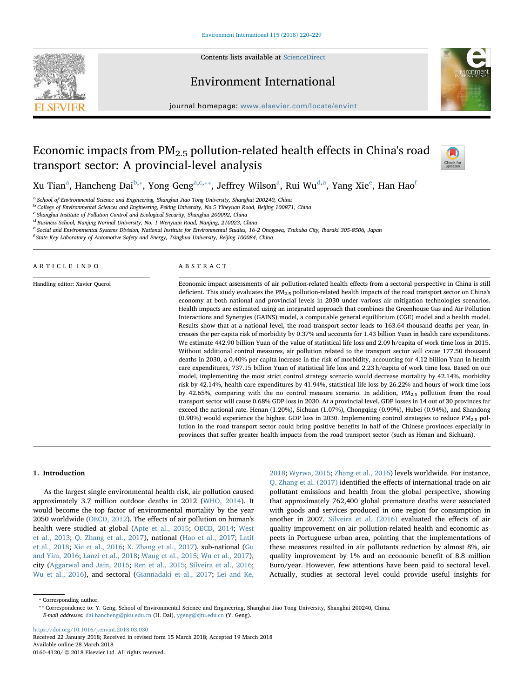

Contents lists available at [ScienceDirect](http://eproxy2.lib.tsinghua.edu.cn:80/rwt/33/http/P75YPLUUMNVXK5UDMWTGT6UFMN4C6Z5QNF/science/journal/01604120)

## Environment International



journal homepage: [www.elsevier.com/locate/envint](https://www.elsevier.com/locate/envint)

# Economic impacts from  $PM<sub>2.5</sub>$  pollution-related health effects in China's road transport sector: A provincial-level analysis



Xu Ti[a](#page-0-0)n<sup>a</sup>, Hancheng Dai<sup>[b,](#page-0-1)</sup>\*, Yong Geng<sup>a[,c,](#page-0-3)</sup>\*\*, J[e](#page-0-6)[f](#page-0-7)frey Wilson<sup>a</sup>, Rui Wu<sup>d,a</sup>, Yang Xie<sup>e</sup>, Han Hao<sup>f</sup>

<span id="page-0-0"></span><sup>a</sup> School of Environmental Science and Engineering, Shanghai Jiao Tong University, Shanghai 200240, China

<span id="page-0-1"></span><sup>b</sup> College of Environmental Sciences and Engineering, Peking University, No.5 Yiheyuan Road, Beijing 100871, China

<span id="page-0-3"></span> $c$  Shanghai Institute of Pollution Control and Ecological Security, Shanghai 200092, China

<span id="page-0-5"></span><sup>d</sup> Business School, Nanjing Normal University, No. 1 Wenyuan Road, Nanjing, 210023, China

<span id="page-0-6"></span><sup>e</sup> Social and Environmental Systems Division, National Institute for Environmental Studies, 16-2 Onogawa, Tsukuba City, Ibaraki 305-8506, Japan

<span id="page-0-7"></span><sup>f</sup> State Key Laboratory of Automotive Safety and Energy, Tsinghua University, Beijing 100084, China

#### ARTICLE INFO

Handling editor: Xavier Querol

## ABSTRACT

Economic impact assessments of air pollution-related health effects from a sectoral perspective in China is still deficient. This study evaluates the PM2.5 pollution-related health impacts of the road transport sector on China's economy at both national and provincial levels in 2030 under various air mitigation technologies scenarios. Health impacts are estimated using an integrated approach that combines the Greenhouse Gas and Air Pollution Interactions and Synergies (GAINS) model, a computable general equilibrium (CGE) model and a health model. Results show that at a national level, the road transport sector leads to 163.64 thousand deaths per year, increases the per capita risk of morbidity by 0.37% and accounts for 1.43 billion Yuan in health care expenditures. We estimate 442.90 billion Yuan of the value of statistical life loss and 2.09 h/capita of work time loss in 2015. Without additional control measures, air pollution related to the transport sector will cause 177.50 thousand deaths in 2030, a 0.40% per capita increase in the risk of morbidity, accounting for 4.12 billion Yuan in health care expenditures, 737.15 billion Yuan of statistical life loss and 2.23 h/capita of work time loss. Based on our model, implementing the most strict control strategy scenario would decrease mortality by 42.14%, morbidity risk by 42.14%, health care expenditures by 41.94%, statistical life loss by 26.22% and hours of work time loss by 42.65%, comparing with the no control measure scenario. In addition,  $PM_{2.5}$  pollution from the road transport sector will cause 0.68% GDP loss in 2030. At a provincial level, GDP losses in 14 out of 30 provinces far exceed the national rate. Henan (1.20%), Sichuan (1.07%), Chongqing (0.99%), Hubei (0.94%), and Shandong (0.90%) would experience the highest GDP loss in 2030. Implementing control strategies to reduce  $PM_{2.5}$  pollution in the road transport sector could bring positive benefits in half of the Chinese provinces especially in provinces that suffer greater health impacts from the road transport sector (such as Henan and Sichuan).

#### 1. Introduction

As the largest single environmental health risk, air pollution caused approximately 3.7 million outdoor deaths in 2012 ([WHO, 2014](#page-9-0)). It would become the top factor of environmental mortality by the year 2050 worldwide ([OECD, 2012\)](#page-9-1). The effects of air pollution on human's health were studied at global [\(Apte et al., 2015;](#page-9-2) [OECD, 2014;](#page-9-3) [West](#page-9-4) [et al., 2013;](#page-9-4) [Q. Zhang et al., 2017\)](#page-9-5), national ([Hao et al., 2017](#page-9-6); [Latif](#page-9-7) [et al., 2018;](#page-9-7) [Xie et al., 2016;](#page-9-8) [X. Zhang et al., 2017\)](#page-9-9), sub-national ([Gu](#page-9-10) [and Yim, 2016;](#page-9-10) [Lanzi et al., 2018](#page-9-11); [Wang et al., 2015;](#page-9-12) [Wu et al., 2017](#page-9-13)), city ([Aggarwal and Jain, 2015](#page-9-14); [Ren et al., 2015](#page-9-15); [Silveira et al., 2016](#page-9-16); [Wu et al., 2016\)](#page-9-17), and sectoral ([Giannadaki et al., 2017](#page-9-18); [Lei and Ke,](#page-9-19)

[2018;](#page-9-19) [Wyrwa, 2015](#page-9-20); [Zhang et al., 2016\)](#page-9-21) levels worldwide. For instance, [Q. Zhang et al. \(2017\)](#page-9-5) identified the effects of international trade on air pollutant emissions and health from the global perspective, showing that approximately 762,400 global premature deaths were associated with goods and services produced in one region for consumption in another in 2007. [Silveira et al. \(2016\)](#page-9-16) evaluated the effects of air quality improvement on air pollution-related health and economic aspects in Portuguese urban area, pointing that the implementations of these measures resulted in air pollutants reduction by almost 8%, air quality improvement by 1% and an economic benefit of 8.8 million Euro/year. However, few attentions have been paid to sectoral level. Actually, studies at sectoral level could provide useful insights for

<span id="page-0-2"></span>⁎ Corresponding author.

<span id="page-0-4"></span>⁎⁎ Correspondence to: Y. Geng, School of Environmental Science and Engineering, Shanghai Jiao Tong University, Shanghai 200240, China. E-mail addresses: [dai.hancheng@pku.edu.cn](mailto:dai.hancheng@pku.edu.cn) (H. Dai), [ygeng@sjtu.edu.cn](mailto:ygeng@sjtu.edu.cn) (Y. Geng).

<https://doi.org/10.1016/j.envint.2018.03.030> Received 22 January 2018; Received in revised form 15 March 2018; Accepted 19 March 2018 Available online 28 March 2018

0160-4120/ © 2018 Elsevier Ltd. All rights reserved.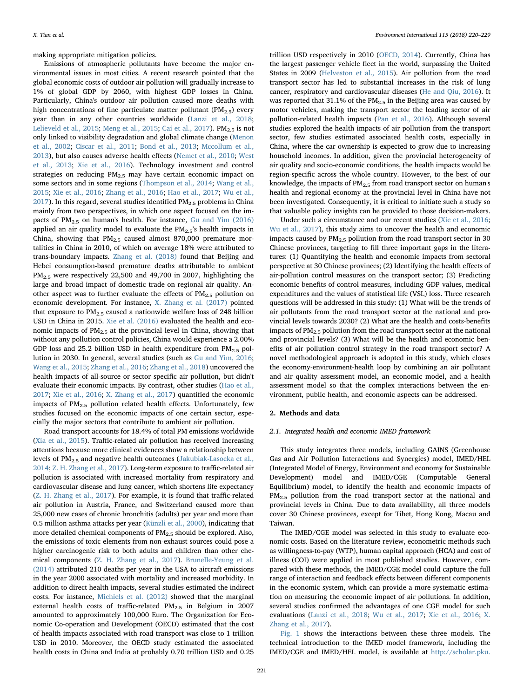making appropriate mitigation policies.

Emissions of atmospheric pollutants have become the major environmental issues in most cities. A recent research pointed that the global economic costs of outdoor air pollution will gradually increase to 1% of global GDP by 2060, with highest GDP losses in China. Particularly, China's outdoor air pollution caused more deaths with high concentrations of fine particulate matter pollutant ( $PM<sub>2.5</sub>$ ) every year than in any other countries worldwide ([Lanzi et al., 2018](#page-9-11); [Lelieveld et al., 2015](#page-9-22); [Meng et al., 2015;](#page-9-23) [Cai et al., 2017\)](#page-9-24).  $PM<sub>2.5</sub>$  is not only linked to visibility degradation and global climate change [\(Menon](#page-9-25) [et al., 2002](#page-9-25); [Ciscar et al., 2011](#page-9-26); [Bond et al., 2013;](#page-9-27) [Mccollum et al.,](#page-9-28) [2013\)](#page-9-28), but also causes adverse health effects ([Nemet et al., 2010;](#page-9-29) [West](#page-9-4) [et al., 2013;](#page-9-4) [Xie et al., 2016](#page-9-8)). Technology investment and control strategies on reducing  $PM_{2.5}$  may have certain economic impact on some sectors and in some regions ([Thompson et al., 2014](#page-9-30); [Wang et al.,](#page-9-12) [2015;](#page-9-12) [Xie et al., 2016](#page-9-8); [Zhang et al., 2016;](#page-9-21) [Hao et al., 2017;](#page-9-6) [Wu et al.,](#page-9-13)  $2017$ ). In this regard, several studies identified PM<sub>2.5</sub> problems in China mainly from two perspectives, in which one aspect focused on the impacts of PM2.5 on human's health. For instance, [Gu and Yim \(2016\)](#page-9-10) applied an air quality model to evaluate the  $PM_{2.5}$ 's health impacts in China, showing that  $PM_{2.5}$  caused almost 870,000 premature mortalities in China in 2010, of which on average 18% were attributed to trans-boundary impacts. [Zhang et al. \(2018\)](#page-9-31) found that Beijing and Hebei consumption-based premature deaths attributable to ambient PM2.5 were respectively 22,500 and 49,700 in 2007, highlighting the large and broad impact of domestic trade on regional air quality. Another aspect was to further evaluate the effects of  $PM_{2.5}$  pollution on economic development. For instance, [X. Zhang et al. \(2017\)](#page-9-9) pointed that exposure to PM2.5 caused a nationwide welfare loss of 248 billion USD in China in 2015. [Xie et al. \(2016\)](#page-9-8) evaluated the health and economic impacts of PM2.5 at the provincial level in China, showing that without any pollution control policies, China would experience a 2.00% GDP loss and 25.2 billion USD in health expenditure from  $PM_{2.5}$  pollution in 2030. In general, several studies (such as [Gu and Yim, 2016](#page-9-10); [Wang et al., 2015](#page-9-12); [Zhang et al., 2016](#page-9-21); [Zhang et al., 2018\)](#page-9-31) uncovered the health impacts of all-source or sector specific air pollution, but didn't evaluate their economic impacts. By contrast, other studies [\(Hao et al.,](#page-9-6) [2017;](#page-9-6) [Xie et al., 2016;](#page-9-8) [X. Zhang et al., 2017](#page-9-9)) quantified the economic impacts of  $PM_{2.5}$  pollution related health effects. Unfortunately, few studies focused on the economic impacts of one certain sector, especially the major sectors that contribute to ambient air pollution.

Road transport accounts for 18.4% of total PM emissions worldwide ([Xia et al., 2015](#page-9-32)). Traffic-related air pollution has received increasing attentions because more clinical evidences show a relationship between levels of PM<sub>2.5</sub> and negative health outcomes ([Jakubiak-Lasocka et al.,](#page-9-33) [2014;](#page-9-33) [Z. H. Zhang et al., 2017](#page-9-34)). Long-term exposure to traffic-related air pollution is associated with increased mortality from respiratory and cardiovascular disease and lung cancer, which shortens life expectancy ([Z. H. Zhang et al., 2017\)](#page-9-34). For example, it is found that traffic-related air pollution in Austria, France, and Switzerland caused more than 25,000 new cases of chronic bronchitis (adults) per year and more than 0.5 million asthma attacks per year ([Künzli et al., 2000\)](#page-9-35), indicating that more detailed chemical components of  $PM_{2.5}$  should be explored. Also, the emissions of toxic elements from non-exhaust sources could pose a higher carcinogenic risk to both adults and children than other chemical components [\(Z. H. Zhang et al., 2017](#page-9-34)). [Brunelle-Yeung et al.](#page-9-36) [\(2014\)](#page-9-36) attributed 210 deaths per year in the USA to aircraft emissions in the year 2000 associated with mortality and increased morbidity. In addition to direct health impacts, several studies estimated the indirect costs. For instance, [Michiels et al. \(2012\)](#page-9-37) showed that the marginal external health costs of traffic-related  $PM_{2.5}$  in Belgium in 2007 amounted to approximately 100,000 Euro. The Organization for Economic Co-operation and Development (OECD) estimated that the cost of health impacts associated with road transport was close to 1 trillion USD in 2010. Moreover, the OECD study estimated the associated health costs in China and India at probably 0.70 trillion USD and 0.25

trillion USD respectively in 2010 [\(OECD, 2014](#page-9-3)). Currently, China has the largest passenger vehicle fleet in the world, surpassing the United States in 2009 [\(Helveston et al., 2015](#page-9-38)). Air pollution from the road transport sector has led to substantial increases in the risk of lung cancer, respiratory and cardiovascular diseases [\(He and Qiu, 2016](#page-9-39)). It was reported that 31.1% of the  $PM_{2.5}$  in the Beijing area was caused by motor vehicles, making the transport sector the leading sector of air pollution-related health impacts ([Pan et al., 2016](#page-9-40)). Although several studies explored the health impacts of air pollution from the transport sector, few studies estimated associated health costs, especially in China, where the car ownership is expected to grow due to increasing household incomes. In addition, given the provincial heterogeneity of air quality and socio-economic conditions, the health impacts would be region-specific across the whole country. However, to the best of our knowledge, the impacts of  $PM<sub>2.5</sub>$  from road transport sector on human's health and regional economy at the provincial level in China have not been investigated. Consequently, it is critical to initiate such a study so that valuable policy insights can be provided to those decision-makers.

Under such a circumstance and our recent studies [\(Xie et al., 2016](#page-9-8); [Wu et al., 2017\)](#page-9-13), this study aims to uncover the health and economic impacts caused by  $PM<sub>2.5</sub>$  pollution from the road transport sector in 30 Chinese provinces, targeting to fill three important gaps in the literatures: (1) Quantifying the health and economic impacts from sectoral perspective at 30 Chinese provinces; (2) Identifying the health effects of air-pollution control measures on the transport sector; (3) Predicting economic benefits of control measures, including GDP values, medical expenditures and the values of statistical life (VSL) loss. Three research questions will be addressed in this study: (1) What will be the trends of air pollutants from the road transport sector at the national and provincial levels towards 2030? (2) What are the health and costs-benefits impacts of PM2.5 pollution from the road transport sector at the national and provincial levels? (3) What will be the health and economic benefits of air pollution control strategy in the road transport sector? A novel methodological approach is adopted in this study, which closes the economy-environment-health loop by combining an air pollutant and air quality assessment model, an economic model, and a health assessment model so that the complex interactions between the environment, public health, and economic aspects can be addressed.

#### 2. Methods and data

#### 2.1. Integrated health and economic IMED framework

This study integrates three models, including GAINS (Greenhouse Gas and Air Pollution Interactions and Synergies) model, IMED/HEL (Integrated Model of Energy, Environment and economy for Sustainable Development) model and IMED/CGE (Computable General Equilibrium) model, to identify the health and economic impacts of PM<sub>2.5</sub> pollution from the road transport sector at the national and provincial levels in China. Due to data availability, all three models cover 30 Chinese provinces, except for Tibet, Hong Kong, Macau and Taiwan.

The IMED/CGE model was selected in this study to evaluate economic costs. Based on the literature review, econometric methods such as willingness-to-pay (WTP), human capital approach (HCA) and cost of illness (COI) were applied in most published studies. However, compared with these methods, the IMED/CGE model could capture the full range of interaction and feedback effects between different components in the economic system, which can provide a more systematic estimation on measuring the economic impact of air pollutions. In addition, several studies confirmed the advantages of one CGE model for such evaluations [\(Lanzi et al., 2018](#page-9-11); [Wu et al., 2017;](#page-9-13) [Xie et al., 2016;](#page-9-8) [X.](#page-9-9) [Zhang et al., 2017\)](#page-9-9).

[Fig. 1](#page-2-0) shows the interactions between these three models. The technical introduction to the IMED model framework, including the IMED/CGE and IMED/HEL model, is available at [http://scholar.pku.](http://scholar.pku.edu.cn/hanchengdai/imed_general)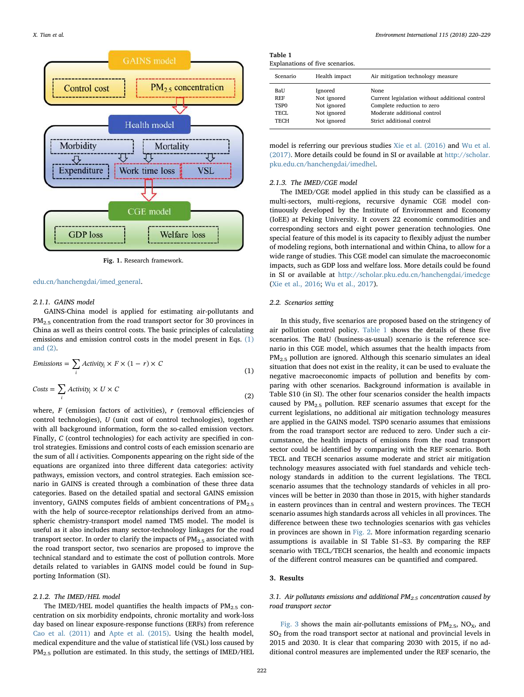<span id="page-2-0"></span>

Fig. 1. Research framework.

## [edu.cn/hanchengdai/imed\\_general](http://scholar.pku.edu.cn/hanchengdai/imed_general).

## 2.1.1. GAINS model

GAINS-China model is applied for estimating air-pollutants and PM<sub>2.5</sub> concentration from the road transport sector for 30 provinces in China as well as theirs control costs. The basic principles of calculating emissions and emission control costs in the model present in Eqs. [\(1\)](#page-2-1) [and \(2\).](#page-2-1)

<span id="page-2-1"></span>
$$
Emissions = \sum_{i} Activity_{i} \times F \times (1 - r) \times C
$$
\n(1)

$$
Costs = \sum_{i} Activity_{i} \times U \times C
$$
 (2)

where,  $F$  (emission factors of activities),  $r$  (removal efficiencies of control technologies), U (unit cost of control technologies), together with all background information, form the so-called emission vectors. Finally, C (control technologies) for each activity are specified in control strategies. Emissions and control costs of each emission scenario are the sum of all i activities. Components appearing on the right side of the equations are organized into three different data categories: activity pathways, emission vectors, and control strategies. Each emission scenario in GAINS is created through a combination of these three data categories. Based on the detailed spatial and sectoral GAINS emission inventory, GAINS computes fields of ambient concentrations of  $PM_{2.5}$ with the help of source-receptor relationships derived from an atmospheric chemistry-transport model named TM5 model. The model is useful as it also includes many sector-technology linkages for the road transport sector. In order to clarify the impacts of  $PM<sub>2.5</sub>$  associated with the road transport sector, two scenarios are proposed to improve the technical standard and to estimate the cost of pollution controls. More details related to variables in GAINS model could be found in Supporting Information (SI).

#### 2.1.2. The IMED/HEL model

The IMED/HEL model quantifies the health impacts of  $PM_{2.5}$  concentration on six morbidity endpoints, chronic mortality and work-loss day based on linear exposure-response functions (ERFs) from reference [Cao et al. \(2011\)](#page-9-41) and [Apte et al. \(2015\)](#page-9-2). Using the health model, medical expenditure and the value of statistical life (VSL) loss caused by PM2.5 pollution are estimated. In this study, the settings of IMED/HEL

<span id="page-2-2"></span>

| Table 1                         |  |
|---------------------------------|--|
| Explanations of five scenarios. |  |

| Scenario         | Health impact | Air mitigation technology measure              |  |  |
|------------------|---------------|------------------------------------------------|--|--|
| BaU              | Ignored       | <b>None</b>                                    |  |  |
| <b>REF</b>       | Not ignored   | Current legislation without additional control |  |  |
| TSP <sub>0</sub> | Not ignored   | Complete reduction to zero                     |  |  |
| TECL.            | Not ignored   | Moderate additional control                    |  |  |
| <b>TECH</b>      | Not ignored   | Strict additional control                      |  |  |

model is referring our previous studies [Xie et al. \(2016\)](#page-9-8) and [Wu et al.](#page-9-13) [\(2017\).](#page-9-13) More details could be found in SI or available at [http://scholar.](http://scholar.pku.edu.cn/hanchengdai/imedhel) [pku.edu.cn/hanchengdai/imedhel.](http://scholar.pku.edu.cn/hanchengdai/imedhel)

#### 2.1.3. The IMED/CGE model

The IMED/CGE model applied in this study can be classified as a multi-sectors, multi-regions, recursive dynamic CGE model continuously developed by the Institute of Environment and Economy (IoEE) at Peking University. It covers 22 economic commodities and corresponding sectors and eight power generation technologies. One special feature of this model is its capacity to flexibly adjust the number of modeling regions, both international and within China, to allow for a wide range of studies. This CGE model can simulate the macroeconomic impacts, such as GDP loss and welfare loss. More details could be found in SI or available at <http://scholar.pku.edu.cn/hanchengdai/imedcge> ([Xie et al., 2016](#page-9-8); [Wu et al., 2017\)](#page-9-13).

## 2.2. Scenarios setting

In this study, five scenarios are proposed based on the stringency of air pollution control policy. [Table 1](#page-2-2) shows the details of these five scenarios. The BaU (business-as-usual) scenario is the reference scenario in this CGE model, which assumes that the health impacts from  $PM_{2.5}$  pollution are ignored. Although this scenario simulates an ideal situation that does not exist in the reality, it can be used to evaluate the negative macroeconomic impacts of pollution and benefits by comparing with other scenarios. Background information is available in Table S10 (in SI). The other four scenarios consider the health impacts caused by  $PM_{2.5}$  pollution. REF scenario assumes that except for the current legislations, no additional air mitigation technology measures are applied in the GAINS model. TSP0 scenario assumes that emissions from the road transport sector are reduced to zero. Under such a circumstance, the health impacts of emissions from the road transport sector could be identified by comparing with the REF scenario. Both TECL and TECH scenarios assume moderate and strict air mitigation technology measures associated with fuel standards and vehicle technology standards in addition to the current legislations. The TECL scenario assumes that the technology standards of vehicles in all provinces will be better in 2030 than those in 2015, with higher standards in eastern provinces than in central and western provinces. The TECH scenario assumes high standards across all vehicles in all provinces. The difference between these two technologies scenarios with gas vehicles in provinces are shown in [Fig. 2.](#page-3-0) More information regarding scenario assumptions is available in SI Table S1–S3. By comparing the REF scenario with TECL/TECH scenarios, the health and economic impacts of the different control measures can be quantified and compared.

## 3. Results

## 3.1. Air pollutants emissions and additional  $PM_{2.5}$  concentration caused by road transport sector

[Fig. 3](#page-4-0) shows the main air-pollutants emissions of  $PM_{2.5}$ ,  $NO<sub>X</sub>$ , and SO2 from the road transport sector at national and provincial levels in 2015 and 2030. It is clear that comparing 2030 with 2015, if no additional control measures are implemented under the REF scenario, the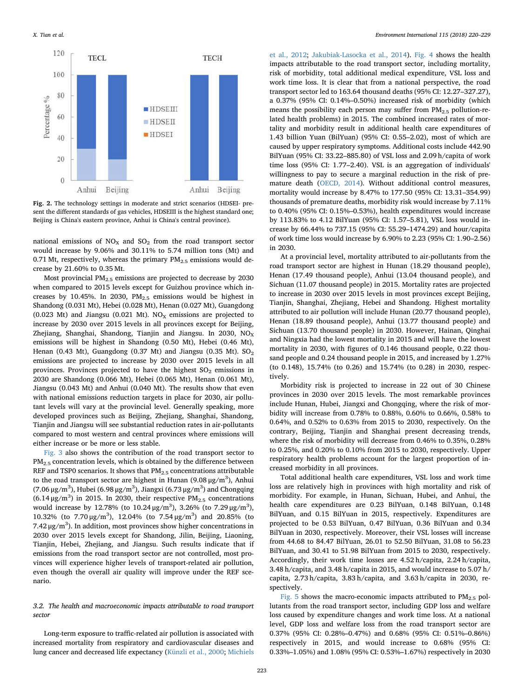<span id="page-3-0"></span>

Fig. 2. The technology settings in moderate and strict scenarios (HDSEI- present the different standards of gas vehicles, HDSEIII is the highest standard one; Beijing is China's eastern province, Anhui is China's central province).

national emissions of  $NO<sub>X</sub>$  and  $SO<sub>2</sub>$  from the road transport sector would increase by 9.06% and 30.11% to 5.74 million tons (Mt) and 0.71 Mt, respectively, whereas the primary  $PM_{2.5}$  emissions would decrease by 21.60% to 0.35 Mt.

Most provincial  $PM<sub>2.5</sub>$  emissions are projected to decrease by 2030 when compared to 2015 levels except for Guizhou province which increases by 10.45%. In 2030,  $PM_{2.5}$  emissions would be highest in Shandong (0.031 Mt), Hebei (0.028 Mt), Henan (0.027 Mt), Guangdong (0.023 Mt) and Jiangsu (0.021 Mt).  $NO<sub>X</sub>$  emissions are projected to increase by 2030 over 2015 levels in all provinces except for Beijing, Zhejiang, Shanghai, Shandong, Tianjin and Jiangsu. In 2030,  $NO<sub>X</sub>$ emissions will be highest in Shandong (0.50 Mt), Hebei (0.46 Mt), Henan (0.43 Mt), Guangdong (0.37 Mt) and Jiangsu (0.35 Mt).  $SO<sub>2</sub>$ emissions are projected to increase by 2030 over 2015 levels in all provinces. Provinces projected to have the highest  $SO<sub>2</sub>$  emissions in 2030 are Shandong (0.066 Mt), Hebei (0.065 Mt), Henan (0.061 Mt), Jiangsu (0.043 Mt) and Anhui (0.040 Mt). The results show that even with national emissions reduction targets in place for 2030, air pollutant levels will vary at the provincial level. Generally speaking, more developed provinces such as Beijing, Zhejiang, Shanghai, Shandong, Tianjin and Jiangsu will see substantial reduction rates in air-pollutants compared to most western and central provinces where emissions will either increase or be more or less stable.

[Fig. 3](#page-4-0) also shows the contribution of the road transport sector to PM<sub>2.5</sub> concentration levels, which is obtained by the difference between REF and TSP0 scenarios. It shows that  $PM_{2.5}$  concentrations attributable to the road transport sector are highest in Hunan (9.08  $\mu$ g/m<sup>3</sup>), Anhui (7.06 μg/m $^3$ ), Hubei (6.98 μg/m $^3$ ), Jiangxi (6.73 μg/m $^3$ ) and Chongqing  $(6.14 \,\mu\text{g/m}^3)$  in 2015. In 2030, their respective PM<sub>2.5</sub> concentrations would increase by 12.78% (to  $10.24 \,\mu$ g/m<sup>3</sup>), 3.26% (to 7.29  $\mu$ g/m<sup>3</sup>), 10.32% (to 7.70 μg/m<sup>3</sup>), 12.04% (to 7.54 μg/m<sup>3</sup>) and 20.85% (to 7.42 μg/m<sup>3</sup>). In addition, most provinces show higher concentrations in 2030 over 2015 levels except for Shandong, Jilin, Beijing, Liaoning, Tianjin, Hebei, Zhejiang, and Jiangsu. Such results indicate that if emissions from the road transport sector are not controlled, most provinces will experience higher levels of transport-related air pollution, even though the overall air quality will improve under the REF scenario.

## 3.2. The health and macroeconomic impacts attributable to road transport sector

Long-term exposure to traffic-related air pollution is associated with increased mortality from respiratory and cardiovascular diseases and lung cancer and decreased life expectancy [\(Künzli et al., 2000;](#page-9-35) [Michiels](#page-9-37)

[et al., 2012;](#page-9-37) [Jakubiak-Lasocka et al., 2014\)](#page-9-33). [Fig. 4](#page-5-0) shows the health impacts attributable to the road transport sector, including mortality, risk of morbidity, total additional medical expenditure, VSL loss and work time loss. It is clear that from a national perspective, the road transport sector led to 163.64 thousand deaths (95% CI: 12.27–327.27), a 0.37% (95% CI: 0.14%–0.50%) increased risk of morbidity (which means the possibility each person may suffer from  $PM<sub>2.5</sub>$  pollution-related health problems) in 2015. The combined increased rates of mortality and morbidity result in additional health care expenditures of 1.43 billion Yuan (BilYuan) (95% CI: 0.55–2.02), most of which are caused by upper respiratory symptoms. Additional costs include 442.90 BilYuan (95% CI: 33.22–885.80) of VSL loss and 2.09 h/capita of work time loss (95% CI: 1.77–2.40). VSL is an aggregation of individuals' willingness to pay to secure a marginal reduction in the risk of premature death ([OECD, 2014](#page-9-3)). Without additional control measures, mortality would increase by 8.47% to 177.50 (95% CI: 13.31–354.99) thousands of premature deaths, morbidity risk would increase by 7.11% to 0.40% (95% CI: 0.15%–0.53%), health expenditures would increase by 113.83% to 4.12 BilYuan (95% CI: 1.57–5.81), VSL loss would increase by 66.44% to 737.15 (95% CI: 55.29–1474.29) and hour/capita of work time loss would increase by 6.90% to 2.23 (95% CI: 1.90–2.56) in 2030.

At a provincial level, mortality attributed to air-pollutants from the road transport sector are highest in Hunan (18.29 thousand people), Henan (17.49 thousand people), Anhui (13.04 thousand people), and Sichuan (11.07 thousand people) in 2015. Mortality rates are projected to increase in 2030 over 2015 levels in most provinces except Beijing, Tianjin, Shanghai, Zhejiang, Hebei and Shandong. Highest mortality attributed to air pollution will include Hunan (20.77 thousand people), Henan (18.89 thousand people), Anhui (13.77 thousand people) and Sichuan (13.70 thousand people) in 2030. However, Hainan, Qinghai and Ningxia had the lowest mortality in 2015 and will have the lowest mortality in 2030, with figures of 0.146 thousand people, 0.22 thousand people and 0.24 thousand people in 2015, and increased by 1.27% (to 0.148), 15.74% (to 0.26) and 15.74% (to 0.28) in 2030, respectively.

Morbidity risk is projected to increase in 22 out of 30 Chinese provinces in 2030 over 2015 levels. The most remarkable provinces include Hunan, Hubei, Jiangxi and Chongqing, where the risk of morbidity will increase from 0.78% to 0.88%, 0.60% to 0.66%, 0.58% to 0.64%, and 0.52% to 0.63% from 2015 to 2030, respectively. On the contrary, Beijing, Tianjin and Shanghai present decreasing trends, where the risk of morbidity will decrease from 0.46% to 0.35%, 0.28% to 0.25%, and 0.20% to 0.10% from 2015 to 2030, respectively. Upper respiratory health problems account for the largest proportion of increased morbidity in all provinces.

Total additional health care expenditures, VSL loss and work time loss are relatively high in provinces with high mortality and risk of morbidity. For example, in Hunan, Sichuan, Hubei, and Anhui, the health care expenditures are 0.23 BilYuan, 0.148 BilYuan, 0.148 BilYuan, and 0.15 BilYuan in 2015, respectively. Expenditures are projected to be 0.53 BilYuan, 0.47 BilYuan, 0.36 BilYuan and 0.34 BilYuan in 2030, respectively. Moreover, their VSL losses will increase from 44.68 to 84.47 BilYuan, 26.01 to 52.50 BilYuan, 31.08 to 56.23 BilYuan, and 30.41 to 51.98 BilYuan from 2015 to 2030, respectively. Accordingly, their work time losses are 4.52 h/capita, 2.24 h/capita, 3.48 h/capita, and 3.48 h/capita in 2015, and would increase to 5.07 h/ capita, 2.73 h/capita, 3.83 h/capita, and 3.63 h/capita in 2030, respectively.

[Fig. 5](#page-6-0) shows the macro-economic impacts attributed to  $PM_{2.5}$  pollutants from the road transport sector, including GDP loss and welfare loss caused by expenditure changes and work time loss. At a national level, GDP loss and welfare loss from the road transport sector are 0.37% (95% CI: 0.28%–0.47%) and 0.68% (95% CI: 0.51%–0.86%) respectively in 2015, and would increase to 0.68% (95% CI: 0.33%–1.05%) and 1.08% (95% CI: 0.53%–1.67%) respectively in 2030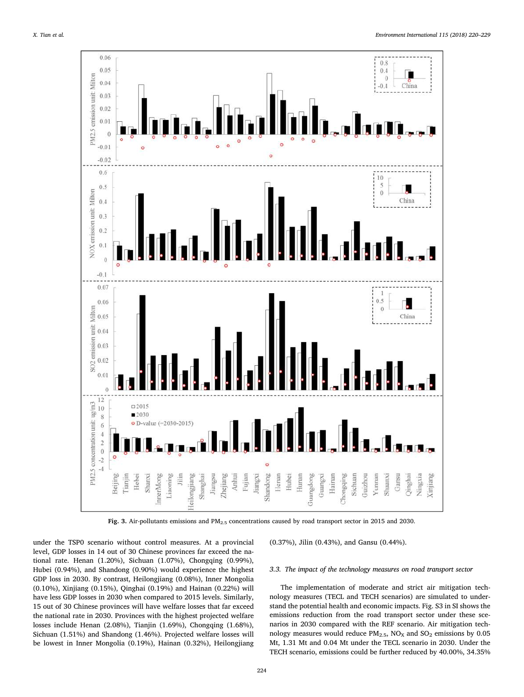<span id="page-4-0"></span>

Fig. 3. Air-pollutants emissions and PM2.5 concentrations caused by road transport sector in 2015 and 2030.

under the TSP0 scenario without control measures. At a provincial level, GDP losses in 14 out of 30 Chinese provinces far exceed the national rate. Henan (1.20%), Sichuan (1.07%), Chongqing (0.99%), Hubei (0.94%), and Shandong (0.90%) would experience the highest GDP loss in 2030. By contrast, Heilongjiang (0.08%), Inner Mongolia (0.10%), Xinjiang (0.15%), Qinghai (0.19%) and Hainan (0.22%) will have less GDP losses in 2030 when compared to 2015 levels. Similarly, 15 out of 30 Chinese provinces will have welfare losses that far exceed the national rate in 2030. Provinces with the highest projected welfare losses include Henan (2.08%), Tianjin (1.69%), Chongqing (1.68%), Sichuan (1.51%) and Shandong (1.46%). Projected welfare losses will be lowest in Inner Mongolia (0.19%), Hainan (0.32%), Heilongjiang

(0.37%), Jilin (0.43%), and Gansu (0.44%).

## 3.3. The impact of the technology measures on road transport sector

The implementation of moderate and strict air mitigation technology measures (TECL and TECH scenarios) are simulated to understand the potential health and economic impacts. Fig. S3 in SI shows the emissions reduction from the road transport sector under these scenarios in 2030 compared with the REF scenario. Air mitigation technology measures would reduce  $PM<sub>2.5</sub>$ , NO<sub>X</sub> and SO<sub>2</sub> emissions by 0.05 Mt, 1.31 Mt and 0.04 Mt under the TECL scenario in 2030. Under the TECH scenario, emissions could be further reduced by 40.00%, 34.35%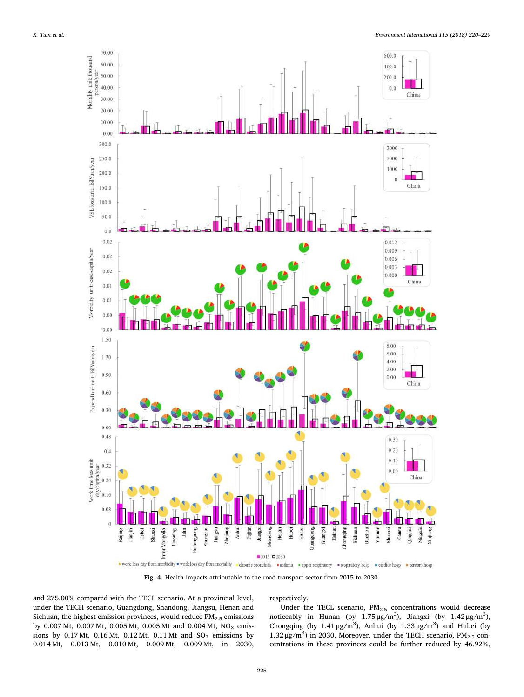<span id="page-5-0"></span>

Fig. 4. Health impacts attributable to the road transport sector from 2015 to 2030.

and 275.00% compared with the TECL scenario. At a provincial level, under the TECH scenario, Guangdong, Shandong, Jiangsu, Henan and Sichuan, the highest emission provinces, would reduce  $PM_{2.5}$  emissions by 0.007 Mt, 0.007 Mt, 0.005 Mt, 0.005 Mt and 0.004 Mt,  $NO_X$  emissions by  $0.17$  Mt,  $0.16$  Mt,  $0.12$  Mt,  $0.11$  Mt and  $SO_2$  emissions by 0.014 Mt, 0.013 Mt, 0.010 Mt, 0.009 Mt, 0.009 Mt, in 2030,

respectively.

Under the TECL scenario, PM<sub>2.5</sub> concentrations would decrease noticeably in Hunan (by  $1.75 \,\mu g/m^3$ ), Jiangxi (by  $1.42 \,\mu g/m^3$ ), Chongqing (by  $1.41 \mu g/m^3$ ), Anhui (by  $1.33 \mu g/m^3$ ) and Hubei (by 1.32 μg/m<sup>3</sup>) in 2030. Moreover, under the TECH scenario,  $PM<sub>2.5</sub>$  concentrations in these provinces could be further reduced by 46.92%,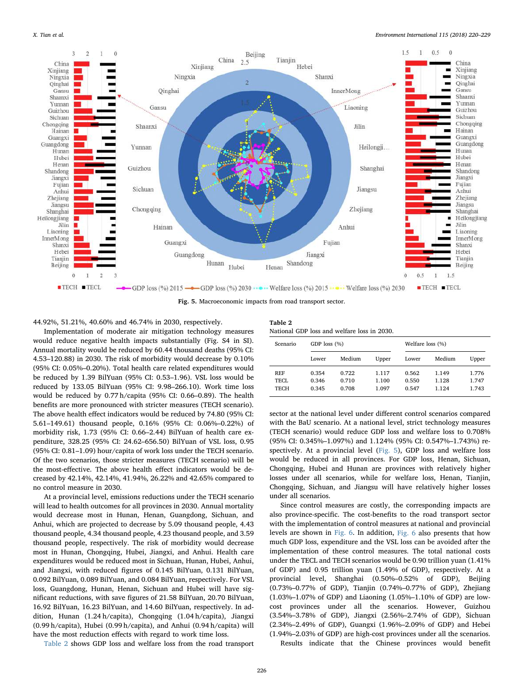<span id="page-6-0"></span>

Fig. 5. Macroeconomic impacts from road transport sector.

## 44.92%, 51.21%, 40.60% and 46.74% in 2030, respectively.

Implementation of moderate air mitigation technology measures would reduce negative health impacts substantially (Fig. S4 in SI). Annual mortality would be reduced by 60.44 thousand deaths (95% CI: 4.53–120.88) in 2030. The risk of morbidity would decrease by 0.10% (95% CI: 0.05%–0.20%). Total health care related expenditures would be reduced by 1.39 BilYuan (95% CI: 0.53–1.96). VSL loss would be reduced by 133.05 BilYuan (95% CI: 9.98–266.10). Work time loss would be reduced by 0.77 h/capita (95% CI: 0.66–0.89). The health benefits are more pronounced with stricter measures (TECH scenario). The above health effect indicators would be reduced by 74.80 (95% CI: 5.61–149.61) thousand people, 0.16% (95% CI: 0.06%–0.22%) of morbidity risk, 1.73 (95% CI: 0.66–2.44) BilYuan of health care expenditure, 328.25 (95% CI: 24.62–656.50) BilYuan of VSL loss, 0.95 (95% CI: 0.81–1.09) hour/capita of work loss under the TECH scenario. Of the two scenarios, those stricter measures (TECH scenario) will be the most-effective. The above health effect indicators would be decreased by 42.14%, 42.14%, 41.94%, 26.22% and 42.65% compared to no control measure in 2030.

At a provincial level, emissions reductions under the TECH scenario will lead to health outcomes for all provinces in 2030. Annual mortality would decrease most in Hunan, Henan, Guangdong, Sichuan, and Anhui, which are projected to decrease by 5.09 thousand people, 4.43 thousand people, 4.34 thousand people, 4.23 thousand people, and 3.59 thousand people, respectively. The risk of morbidity would decrease most in Hunan, Chongqing, Hubei, Jiangxi, and Anhui. Health care expenditures would be reduced most in Sichuan, Hunan, Hubei, Anhui, and Jiangxi, with reduced figures of 0.145 BilYuan, 0.131 BilYuan, 0.092 BilYuan, 0.089 BilYuan, and 0.084 BilYuan, respectively. For VSL loss, Guangdong, Hunan, Henan, Sichuan and Hubei will have significant reductions, with save figures of 21.58 BilYuan, 20.70 BilYuan, 16.92 BilYuan, 16.23 BilYuan, and 14.60 BilYuan, respectively. In addition, Hunan (1.24 h/capita), Chongqing (1.04 h/capita), Jiangxi (0.99 h/capita), Hubei (0.99 h/capita), and Anhui (0.94 h/capita) will have the most reduction effects with regard to work time loss.

[Table 2](#page-6-1) shows GDP loss and welfare loss from the road transport

<span id="page-6-1"></span>Table 2 National GDP loss and welfare loss in 2030.

| Scenario           | GDP loss $(\%)$ |                |                | Welfare loss (%) |                |                |
|--------------------|-----------------|----------------|----------------|------------------|----------------|----------------|
|                    | Lower           | Medium         | Upper          | Lower            | Medium         | Upper          |
| <b>REF</b><br>TECL | 0.354<br>0.346  | 0.722<br>0.710 | 1.117<br>1.100 | 0.562<br>0.550   | 1.149<br>1.128 | 1.776<br>1.747 |
| TECH               | 0.345           | 0.708          | 1.097          | 0.547            | 1.124          | 1.743          |

sector at the national level under different control scenarios compared with the BaU scenario. At a national level, strict technology measures (TECH scenario) would reduce GDP loss and welfare loss to 0.708% (95% CI: 0.345%–1.097%) and 1.124% (95% CI: 0.547%–1.743%) respectively. At a provincial level ([Fig. 5](#page-6-0)), GDP loss and welfare loss would be reduced in all provinces. For GDP loss, Henan, Sichuan, Chongqing, Hubei and Hunan are provinces with relatively higher losses under all scenarios, while for welfare loss, Henan, Tianjin, Chongqing, Sichuan, and Jiangsu will have relatively higher losses under all scenarios.

Since control measures are costly, the corresponding impacts are also province-specific. The cost-benefits to the road transport sector with the implementation of control measures at national and provincial levels are shown in [Fig. 6](#page-7-0). In addition, [Fig. 6](#page-7-0) also presents that how much GDP loss, expenditure and the VSL loss can be avoided after the implementation of these control measures. The total national costs under the TECL and TECH scenarios would be 0.90 trillion yuan (1.41% of GDP) and 0.95 trillion yuan (1.49% of GDP), respectively. At a provincial level, Shanghai (0.50%–0.52% of GDP), Beijing (0.73%–0.77% of GDP), Tianjin (0.74%–0.77% of GDP), Zhejiang (1.03%–1.07% of GDP) and Liaoning (1.05%–1.10% of GDP) are lowcost provinces under all the scenarios. However, Guizhou (3.54%–3.78% of GDP), Jiangxi (2.56%–2.74% of GDP), Sichuan (2.34%–2.49% of GDP), Guangxi (1.96%–2.09% of GDP) and Hebei (1.94%–2.03% of GDP) are high-cost provinces under all the scenarios.

Results indicate that the Chinese provinces would benefit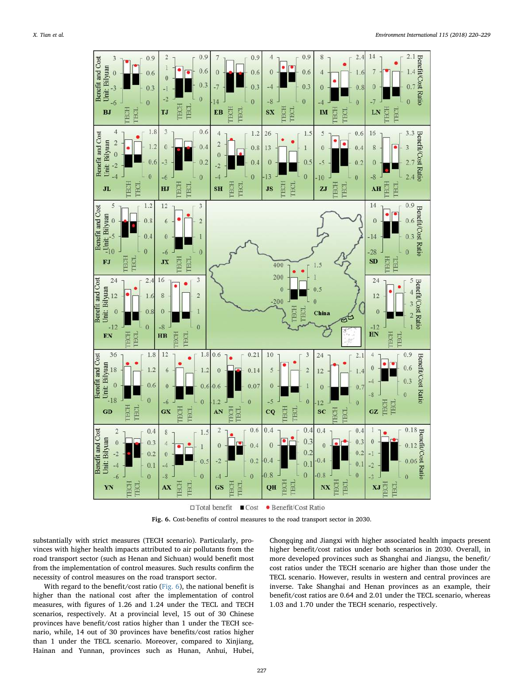<span id="page-7-0"></span>![](_page_7_Figure_2.jpeg)

 $\square$  Total benefit  $\blacksquare$  Cost · Benefit/Cost Ratio

Fig. 6. Cost-benefits of control measures to the road transport sector in 2030.

substantially with strict measures (TECH scenario). Particularly, provinces with higher health impacts attributed to air pollutants from the road transport sector (such as Henan and Sichuan) would benefit most from the implementation of control measures. Such results confirm the necessity of control measures on the road transport sector.

With regard to the benefit/cost ratio [\(Fig. 6\)](#page-7-0), the national benefit is higher than the national cost after the implementation of control measures, with figures of 1.26 and 1.24 under the TECL and TECH scenarios, respectively. At a provincial level, 15 out of 30 Chinese provinces have benefit/cost ratios higher than 1 under the TECH scenario, while, 14 out of 30 provinces have benefits/cost ratios higher than 1 under the TECL scenario. Moreover, compared to Xinjiang, Hainan and Yunnan, provinces such as Hunan, Anhui, Hubei,

Chongqing and Jiangxi with higher associated health impacts present higher benefit/cost ratios under both scenarios in 2030. Overall, in more developed provinces such as Shanghai and Jiangsu, the benefit/ cost ratios under the TECH scenario are higher than those under the TECL scenario. However, results in western and central provinces are inverse. Take Shanghai and Henan provinces as an example, their benefit/cost ratios are 0.64 and 2.01 under the TECL scenario, whereas 1.03 and 1.70 under the TECH scenario, respectively.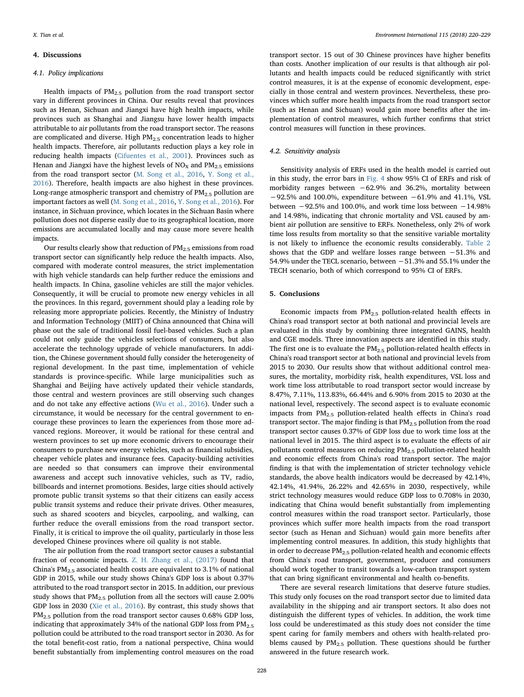#### 4. Discussions

#### 4.1. Policy implications

Health impacts of  $PM_{2.5}$  pollution from the road transport sector vary in different provinces in China. Our results reveal that provinces such as Henan, Sichuan and Jiangxi have high health impacts, while provinces such as Shanghai and Jiangsu have lower health impacts attributable to air pollutants from the road transport sector. The reasons are complicated and diverse. High  $PM_{2.5}$  concentration leads to higher health impacts. Therefore, air pollutants reduction plays a key role in reducing health impacts [\(Cifuentes et al., 2001\)](#page-9-42). Provinces such as Henan and Jiangxi have the highest levels of  $NO_x$  and  $PM_2$  = emissions from the road transport sector [\(M. Song et al., 2016,](#page-9-43) [Y. Song et al.,](#page-9-44) [2016\)](#page-9-44). Therefore, health impacts are also highest in these provinces. Long-range atmospheric transport and chemistry of  $PM_{2.5}$  pollution are important factors as well [\(M. Song et al., 2016](#page-9-43), [Y. Song et al., 2016\)](#page-9-44). For instance, in Sichuan province, which locates in the Sichuan Basin where pollution does not disperse easily due to its geographical location, more emissions are accumulated locally and may cause more severe health impacts.

Our results clearly show that reduction of PM<sub>2.5</sub> emissions from road transport sector can significantly help reduce the health impacts. Also, compared with moderate control measures, the strict implementation with high vehicle standards can help further reduce the emissions and health impacts. In China, gasoline vehicles are still the major vehicles. Consequently, it will be crucial to promote new energy vehicles in all the provinces. In this regard, government should play a leading role by releasing more appropriate policies. Recently, the Ministry of Industry and Information Technology (MIIT) of China announced that China will phase out the sale of traditional fossil fuel-based vehicles. Such a plan could not only guide the vehicles selections of consumers, but also accelerate the technology upgrade of vehicle manufacturers. In addition, the Chinese government should fully consider the heterogeneity of regional development. In the past time, implementation of vehicle standards is province-specific. While large municipalities such as Shanghai and Beijing have actively updated their vehicle standards, those central and western provinces are still observing such changes and do not take any effective actions ([Wu et al., 2016](#page-9-17)). Under such a circumstance, it would be necessary for the central government to encourage these provinces to learn the experiences from those more advanced regions. Moreover, it would be rational for these central and western provinces to set up more economic drivers to encourage their consumers to purchase new energy vehicles, such as financial subsidies, cheaper vehicle plates and insurance fees. Capacity-building activities are needed so that consumers can improve their environmental awareness and accept such innovative vehicles, such as TV, radio, billboards and internet promotions. Besides, large cities should actively promote public transit systems so that their citizens can easily access public transit systems and reduce their private drives. Other measures, such as shared scooters and bicycles, carpooling, and walking, can further reduce the overall emissions from the road transport sector. Finally, it is critical to improve the oil quality, particularly in those less developed Chinese provinces where oil quality is not stable.

The air pollution from the road transport sector causes a substantial fraction of economic impacts. [Z. H. Zhang et al., \(2017\)](#page-9-34) found that China's  $PM_{2.5}$  associated health costs are equivalent to 3.1% of national GDP in 2015, while our study shows China's GDP loss is about 0.37% attributed to the road transport sector in 2015. In addition, our previous study shows that  $PM<sub>2.5</sub>$  pollution from all the sectors will cause 2.00% GDP loss in 2030 [\(Xie et al., 2016](#page-9-8)). By contrast, this study shows that PM<sub>2.5</sub> pollution from the road transport sector causes 0.68% GDP loss, indicating that approximately 34% of the national GDP loss from  $PM_{2.5}$ pollution could be attributed to the road transport sector in 2030. As for the total benefit-cost ratio, from a national perspective, China would benefit substantially from implementing control measures on the road

transport sector. 15 out of 30 Chinese provinces have higher benefits than costs. Another implication of our results is that although air pollutants and health impacts could be reduced significantly with strict control measures, it is at the expense of economic development, especially in those central and western provinces. Nevertheless, these provinces which suffer more health impacts from the road transport sector (such as Henan and Sichuan) would gain more benefits after the implementation of control measures, which further confirms that strict control measures will function in these provinces.

#### 4.2. Sensitivity analysis

Sensitivity analysis of ERFs used in the health model is carried out in this study, the error bars in [Fig. 4](#page-5-0) show 95% CI of ERFs and risk of morbidity ranges between −62.9% and 36.2%, mortality between −92.5% and 100.0%, expenditure between −61.9% and 41.1%, VSL between −92.5% and 100.0%, and work time loss between −14.98% and 14.98%, indicating that chronic mortality and VSL caused by ambient air pollution are sensitive to ERFs. Nonetheless, only 2% of work time loss results from mortality so that the sensitive variable mortality is not likely to influence the economic results considerably. [Table 2](#page-6-1) shows that the GDP and welfare losses range between −51.3% and 54.9% under the TECL scenario, between −51.3% and 55.1% under the TECH scenario, both of which correspond to 95% CI of ERFs.

#### 5. Conclusions

Economic impacts from PM<sub>2.5</sub> pollution-related health effects in China's road transport sector at both national and provincial levels are evaluated in this study by combining three integrated GAINS, health and CGE models. Three innovation aspects are identified in this study. The first one is to evaluate the  $PM_{2.5}$  pollution-related health effects in China's road transport sector at both national and provincial levels from 2015 to 2030. Our results show that without additional control measures, the mortality, morbidity risk, health expenditures, VSL loss and work time loss attributable to road transport sector would increase by 8.47%, 7.11%, 113.83%, 66.44% and 6.90% from 2015 to 2030 at the national level, respectively. The second aspect is to evaluate economic impacts from PM2.5 pollution-related health effects in China's road transport sector. The major finding is that  $PM<sub>2.5</sub>$  pollution from the road transport sector causes 0.37% of GDP loss due to work time loss at the national level in 2015. The third aspect is to evaluate the effects of air pollutants control measures on reducing  $PM_{2.5}$  pollution-related health and economic effects from China's road transport sector. The major finding is that with the implementation of stricter technology vehicle standards, the above health indicators would be decreased by 42.14%, 42.14%, 41.94%, 26.22% and 42.65% in 2030, respectively, while strict technology measures would reduce GDP loss to 0.708% in 2030, indicating that China would benefit substantially from implementing control measures within the road transport sector. Particularly, those provinces which suffer more health impacts from the road transport sector (such as Henan and Sichuan) would gain more benefits after implementing control measures. In addition, this study highlights that in order to decrease  $PM_{2.5}$  pollution-related health and economic effects from China's road transport, government, producer and consumers should work together to transit towards a low-carbon transport system that can bring significant environmental and health co-benefits.

There are several research limitations that deserve future studies. This study only focuses on the road transport sector due to limited data availability in the shipping and air transport sectors. It also does not distinguish the different types of vehicles. In addition, the work time loss could be underestimated as this study does not consider the time spent caring for family members and others with health-related problems caused by  $PM<sub>2.5</sub>$  pollution. These questions should be further answered in the future research work.